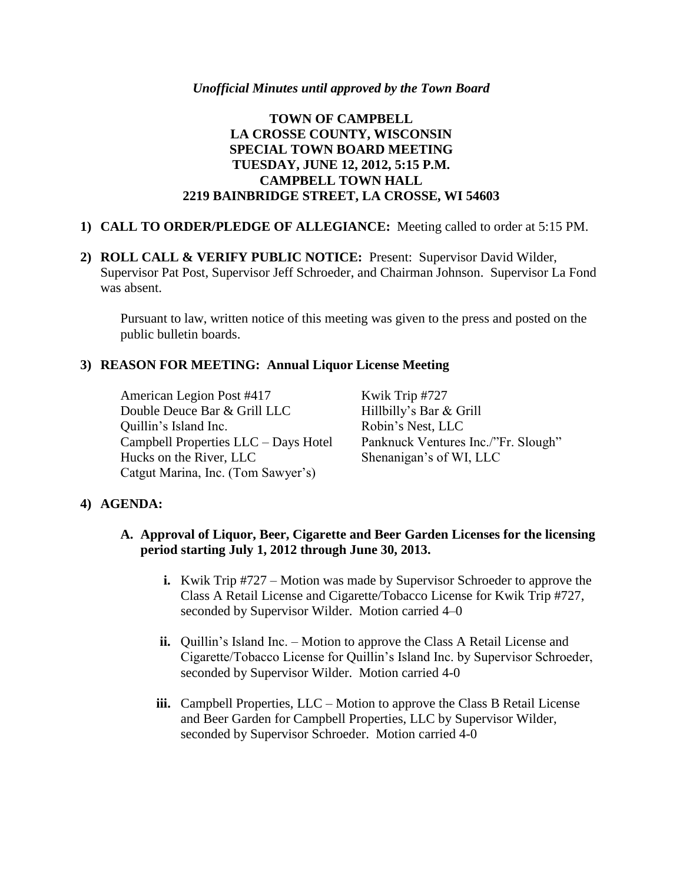#### *Unofficial Minutes until approved by the Town Board*

# **TOWN OF CAMPBELL LA CROSSE COUNTY, WISCONSIN SPECIAL TOWN BOARD MEETING TUESDAY, JUNE 12, 2012, 5:15 P.M. CAMPBELL TOWN HALL 2219 BAINBRIDGE STREET, LA CROSSE, WI 54603**

#### **1) CALL TO ORDER/PLEDGE OF ALLEGIANCE:** Meeting called to order at 5:15 PM.

**2) ROLL CALL & VERIFY PUBLIC NOTICE:** Present: Supervisor David Wilder, Supervisor Pat Post, Supervisor Jeff Schroeder, and Chairman Johnson. Supervisor La Fond was absent.

Pursuant to law, written notice of this meeting was given to the press and posted on the public bulletin boards.

### **3) REASON FOR MEETING: Annual Liquor License Meeting**

American Legion Post #417 Kwik Trip #727 Double Deuce Bar & Grill LLC Hillbilly's Bar & Grill Quillin's Island Inc. Robin's Nest, LLC Campbell Properties LLC – Days Hotel Panknuck Ventures Inc./"Fr. Slough" Hucks on the River, LLC Shenanigan's of WI, LLC Catgut Marina, Inc. (Tom Sawyer's)

# **4) AGENDA:**

- **A. Approval of Liquor, Beer, Cigarette and Beer Garden Licenses for the licensing period starting July 1, 2012 through June 30, 2013.**
	- **i.** Kwik Trip #727 Motion was made by Supervisor Schroeder to approve the Class A Retail License and Cigarette/Tobacco License for Kwik Trip #727, seconded by Supervisor Wilder. Motion carried 4–0
	- **ii.** Quillin's Island Inc. Motion to approve the Class A Retail License and Cigarette/Tobacco License for Quillin's Island Inc. by Supervisor Schroeder, seconded by Supervisor Wilder. Motion carried 4-0
	- **iii.** Campbell Properties, LLC Motion to approve the Class B Retail License and Beer Garden for Campbell Properties, LLC by Supervisor Wilder, seconded by Supervisor Schroeder. Motion carried 4-0